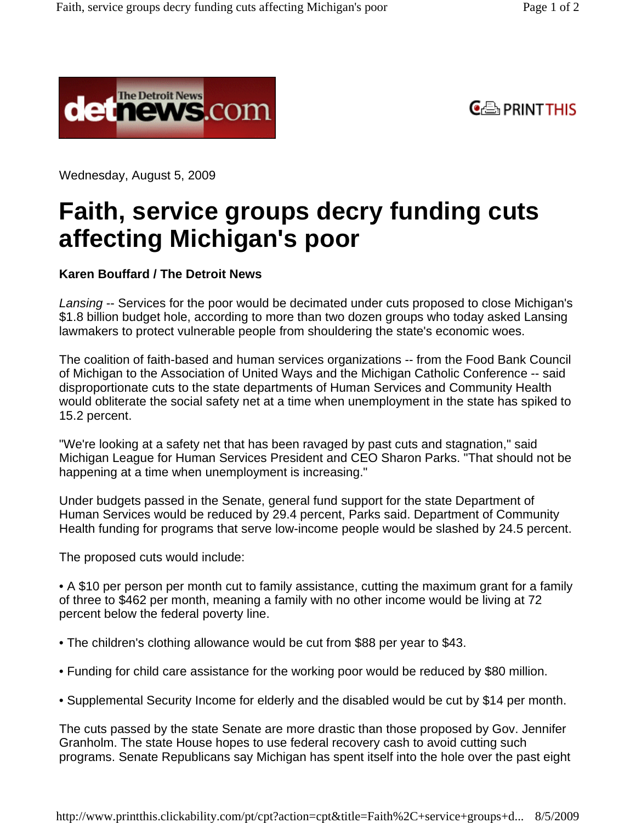



Wednesday, August 5, 2009

## **Faith, service groups decry funding cuts affecting Michigan's poor**

## **Karen Bouffard / The Detroit News**

Lansing -- Services for the poor would be decimated under cuts proposed to close Michigan's \$1.8 billion budget hole, according to more than two dozen groups who today asked Lansing lawmakers to protect vulnerable people from shouldering the state's economic woes.

The coalition of faith-based and human services organizations -- from the Food Bank Council of Michigan to the Association of United Ways and the Michigan Catholic Conference -- said disproportionate cuts to the state departments of Human Services and Community Health would obliterate the social safety net at a time when unemployment in the state has spiked to 15.2 percent.

"We're looking at a safety net that has been ravaged by past cuts and stagnation," said Michigan League for Human Services President and CEO Sharon Parks. "That should not be happening at a time when unemployment is increasing."

Under budgets passed in the Senate, general fund support for the state Department of Human Services would be reduced by 29.4 percent, Parks said. Department of Community Health funding for programs that serve low-income people would be slashed by 24.5 percent.

The proposed cuts would include:

• A \$10 per person per month cut to family assistance, cutting the maximum grant for a family of three to \$462 per month, meaning a family with no other income would be living at 72 percent below the federal poverty line.

- The children's clothing allowance would be cut from \$88 per year to \$43.
- Funding for child care assistance for the working poor would be reduced by \$80 million.
- Supplemental Security Income for elderly and the disabled would be cut by \$14 per month.

The cuts passed by the state Senate are more drastic than those proposed by Gov. Jennifer Granholm. The state House hopes to use federal recovery cash to avoid cutting such programs. Senate Republicans say Michigan has spent itself into the hole over the past eight